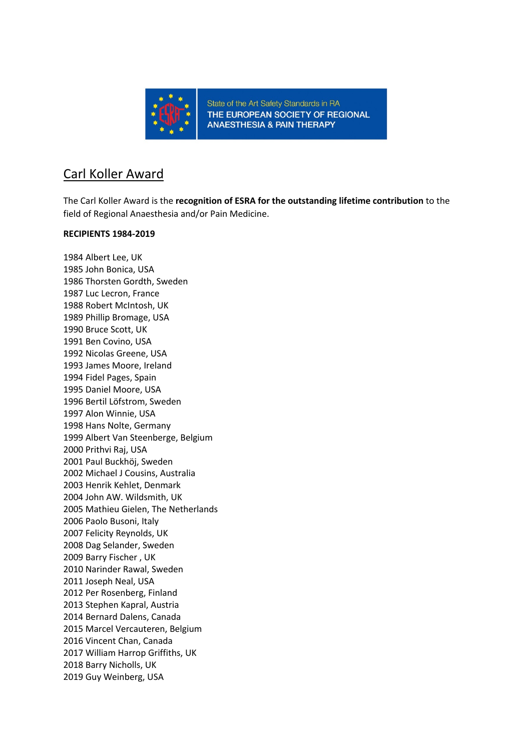

### Carl Koller Award

The Carl Koller Award is the **recognition of ESRA for the outstanding lifetime contribution** to the field of Regional Anaesthesia and/or Pain Medicine.

#### **RECIPIENTS 1984-2019**

1984 Albert Lee, UK 1985 John Bonica, USA 1986 Thorsten Gordth, Sweden 1987 Luc Lecron, France 1988 Robert McIntosh, UK 1989 Phillip Bromage, USA 1990 Bruce Scott, UK 1991 Ben Covino, USA 1992 Nicolas Greene, USA 1993 James Moore, Ireland 1994 Fidel Pages, Spain 1995 Daniel Moore, USA 1996 Bertil Löfstrom, Sweden 1997 Alon Winnie, USA 1998 Hans Nolte, Germany 1999 Albert Van Steenberge, Belgium 2000 Prithvi Raj, USA 2001 Paul Buckhöj, Sweden 2002 Michael J Cousins, Australia 2003 Henrik Kehlet, Denmark 2004 John AW. Wildsmith, UK 2005 Mathieu Gielen, The Netherlands 2006 Paolo Busoni, Italy 2007 Felicity Reynolds, UK 2008 Dag Selander, Sweden 2009 Barry Fischer , UK 2010 Narinder Rawal, Sweden 2011 Joseph Neal, USA 2012 Per Rosenberg, Finland 2013 Stephen Kapral, Austria 2014 Bernard Dalens, Canada 2015 Marcel Vercauteren, Belgium 2016 Vincent Chan, Canada 2017 William Harrop Griffiths, UK 2018 Barry Nicholls, UK 2019 Guy Weinberg, USA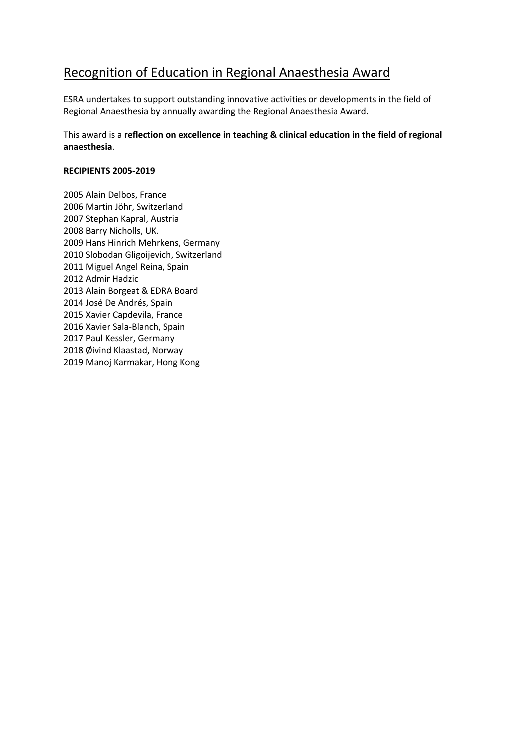# Recognition of Education in Regional Anaesthesia Award

ESRA undertakes to support outstanding innovative activities or developments in the field of Regional Anaesthesia by annually awarding the Regional Anaesthesia Award.

This award is a **reflection on excellence in teaching & clinical education in the field of regional anaesthesia**.

#### **RECIPIENTS 2005-2019**

2005 Alain Delbos, France 2006 Martin Jöhr, Switzerland 2007 Stephan Kapral, Austria 2008 Barry Nicholls, UK. 2009 Hans Hinrich Mehrkens, Germany 2010 Slobodan Gligoijevich, Switzerland 2011 Miguel Angel Reina, Spain 2012 Admir Hadzic 2013 Alain Borgeat & EDRA Board 2014 José De Andrés, Spain 2015 Xavier Capdevila, France 2016 Xavier Sala-Blanch, Spain 2017 Paul Kessler, Germany 2018 Øivind Klaastad, Norway 2019 Manoj Karmakar, Hong Kong